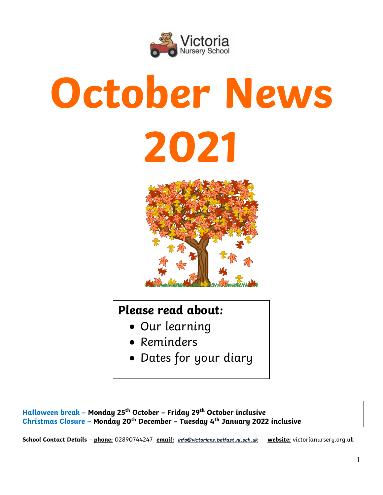

# **October News 2021**



# **Please read about:**

- Our learning
- Reminders
- Dates for your diary

# **Halloween break – Monday 25th October – Friday 29th October inclusive Christmas Closure – Monday 20th December – Tuesday 4th January 2022 inclusive**

**School Contact Details** – **phone:** 02890744247 **email:** *[info@victorians.belfast.ni.sch.uk](mailto:info@victorians.belfast.ni.sch.uk)* **website:** victorianursery.org.uk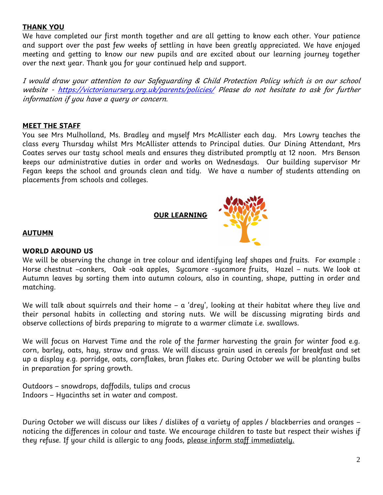# **THANK YOU**

We have completed our first month together and are all getting to know each other. Your patience and support over the past few weeks of settling in have been greatly appreciated. We have enjoyed meeting and getting to know our new pupils and are excited about our learning journey together over the next year. Thank you for your continued help and support.

I would draw your attention to our Safeguarding & Child Protection Policy which is on our school website - <https://victorianursery.org.uk/parents/policies/> Please do not hesitate to ask for further information if you have a query or concern.

# **MEET THE STAFF**

You see Mrs Mulholland, Ms. Bradley and myself Mrs McAllister each day. Mrs Lowry teaches the class every Thursday whilst Mrs McAllister attends to Principal duties. Our Dining Attendant, Mrs Coates serves our tasty school meals and ensures they distributed promptly at 12 noon. Mrs Benson keeps our administrative duties in order and works on Wednesdays. Our building supervisor Mr Fegan keeps the school and grounds clean and tidy. We have a number of students attending on placements from schools and colleges.

 **OUR LEARNING**



#### **AUTUMN**

# **WORLD AROUND US**

We will be observing the change in tree colour and identifying leaf shapes and fruits. For example : Horse chestnut –conkers, Oak -oak apples, Sycamore -sycamore fruits, Hazel – nuts. We look at Autumn leaves by sorting them into autumn colours, also in counting, shape, putting in order and matching.

We will talk about squirrels and their home  $-$  a 'drey', looking at their habitat where theu live and their personal habits in collecting and storing nuts. We will be discussing migrating birds and observe collections of birds preparing to migrate to a warmer climate i.e. swallows.

We will focus on Harvest Time and the role of the farmer harvesting the grain for winter food e.g. corn, barley, oats, hay, straw and grass. We will discuss grain used in cereals for breakfast and set up a display e.g. porridge, oats, cornflakes, bran flakes etc. During October we will be planting bulbs in preparation for spring growth.

Outdoors – snowdrops, daffodils, tulips and crocus Indoors – Hyacinths set in water and compost.

During October we will discuss our likes / dislikes of a variety of apples / blackberries and oranges – noticing the differences in colour and taste. We encourage children to taste but respect their wishes if they refuse. If your child is allergic to any foods, please inform staff immediately.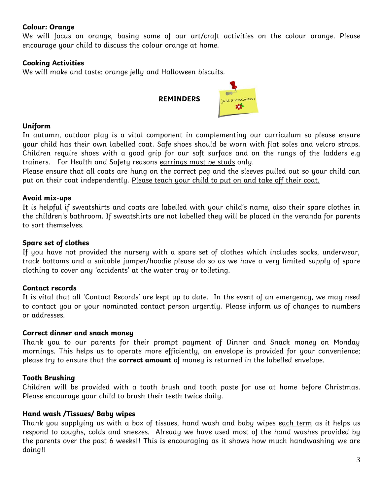# **Colour: Orange**

We will focus on orange, basing some of our art/craft activities on the colour orange. Please encourage your child to discuss the colour orange at home.

# **Cooking Activities**

We will make and taste: orange jelly and Halloween biscuits.



 $\mathbf{m}$ 

# **Uniform**

In autumn, outdoor play is a vital component in complementing our curriculum so please ensure your child has their own labelled coat. Safe shoes should be worn with flat soles and velcro straps. Children require shoes with a good grip for our soft surface and on the rungs of the ladders e.g trainers. For Health and Safety reasons earrings must be studs only.

Please ensure that all coats are hung on the correct peg and the sleeves pulled out so your child can put on their coat independently. Please teach your child to put on and take off their coat.

#### **Avoid mix-ups**

It is helpful if sweatshirts and coats are labelled with your child's name, also their spare clothes in the children's bathroom. If sweatshirts are not labelled they will be placed in the veranda for parents to sort themselves.

# **Spare set of clothes**

If you have not provided the nursery with a spare set of clothes which includes socks, underwear, track bottoms and a suitable jumper/hoodie please do so as we have a very limited supply of spare clothing to cover any 'accidents' at the water tray or toileting.

# **Contact records**

It is vital that all 'Contact Records' are kept up to date. In the event of an emergency, we may need to contact you or your nominated contact person urgently. Please inform us of changes to numbers or addresses.

#### **Correct dinner and snack money**

Thank you to our parents for their prompt payment of Dinner and Snack money on Monday mornings. This helps us to operate more efficiently, an envelope is provided for your convenience; please try to ensure that the **correct amount** of money is returned in the labelled envelope.

# **Tooth Brushing**

Children will be provided with a tooth brush and tooth paste for use at home before Christmas. Please encourage your child to brush their teeth twice daily.

# **Hand wash /Tissues/ Baby wipes**

Thank you supplying us with a box of tissues, hand wash and baby wipes each term as it helps us respond to coughs, colds and sneezes. Already we have used most of the hand washes provided by the parents over the past 6 weeks!! This is encouraging as it shows how much handwashing we are doing!!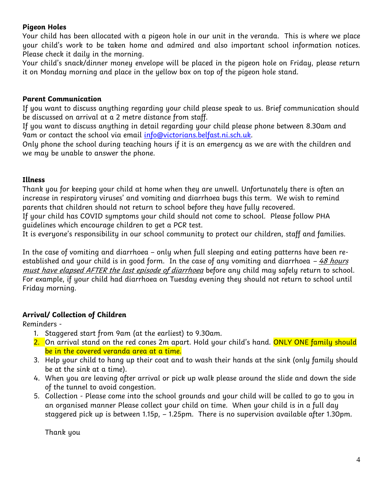# **Pigeon Holes**

Your child has been allocated with a pigeon hole in our unit in the veranda. This is where we place your child's work to be taken home and admired and also important school information notices. Please check it daily in the morning.

Your child's snack/dinner money envelope will be placed in the pigeon hole on Friday, please return it on Monday morning and place in the yellow box on top of the pigeon hole stand.

# **Parent Communication**

If you want to discuss anything regarding your child please speak to us. Brief communication should be discussed on arrival at a 2 metre distance from staff.

If you want to discuss anything in detail regarding your child please phone between 8.30am and 9am or contact the school via email [info@victorians.belfast.ni.sch.uk.](mailto:info@victorians.belfast.ni.sch.uk)

Only phone the school during teaching hours if it is an emergency as we are with the children and we may be unable to answer the phone.

# **Illness**

Thank you for keeping your child at home when they are unwell. Unfortunately there is often an increase in respiratory viruses' and vomiting and diarrhoea bugs this term. We wish to remind parents that children should not return to school before they have fully recovered.

If your child has COVID symptoms your child should not come to school. Please follow PHA guidelines which encourage children to get a PCR test.

It is everyone's responsibility in our school community to protect our children, staff and families.

In the case of vomiting and diarrhoea – only when full sleeping and eating patterns have been reestablished and your child is in good form. In the case of any vomiting and diarrhoea  $-48$  hours must have elapsed AFTER the last episode of diarrhoea before any child may safely return to school. For example, if your child had diarrhoea on Tuesday evening they should not return to school until Friday morning.

# **Arrival/ Collection of Children**

Reminders -

- 1. Staggered start from 9am (at the earliest) to 9.30am.
- 2. On arrival stand on the red cones 2m apart. Hold your child's hand. ONLY ONE family should be in the covered veranda area at a time.
- 3. Help your child to hang up their coat and to wash their hands at the sink (only family should be at the sink at a time).
- 4. When you are leaving after arrival or pick up walk please around the slide and down the side of the tunnel to avoid congestion.
- 5. Collection Please come into the school grounds and your child will be called to go to you in an organised manner Please collect your child on time. When your child is in a full day staggered pick up is between 1.15p, – 1.25pm. There is no supervision available after 1.30pm.

Thank you